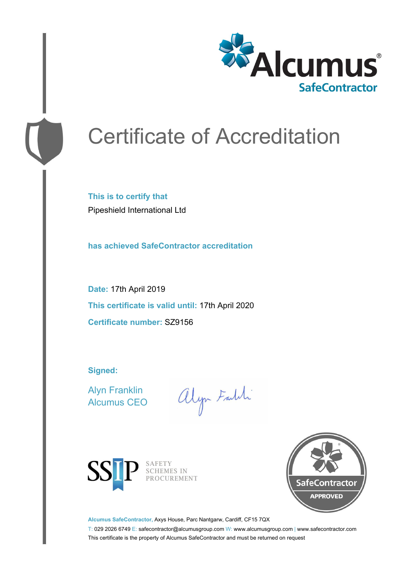

# Certificate of Accreditation

**This is to certify that** Pipeshield International Ltd

**has achieved SafeContractor accreditation**

**Date:** 17th April 2019 **This certificate is valid until:** 17th April 2020 **Certificate number:** SZ9156

**Signed:**

Alyn Franklin Alcumus CEO

alyn Faith



SAFETY<br>SCHEMES IN PROCUREMENT



**Alcumus SafeContractor,** Axys House, Parc Nantgarw, Cardiff, CF15 7QX

T: 029 2026 6749 E: safecontractor@alcumusgroup.com W: www.alcumusgroup.com | www.safecontractor.com This certificate is the property of Alcumus SafeContractor and must be returned on request